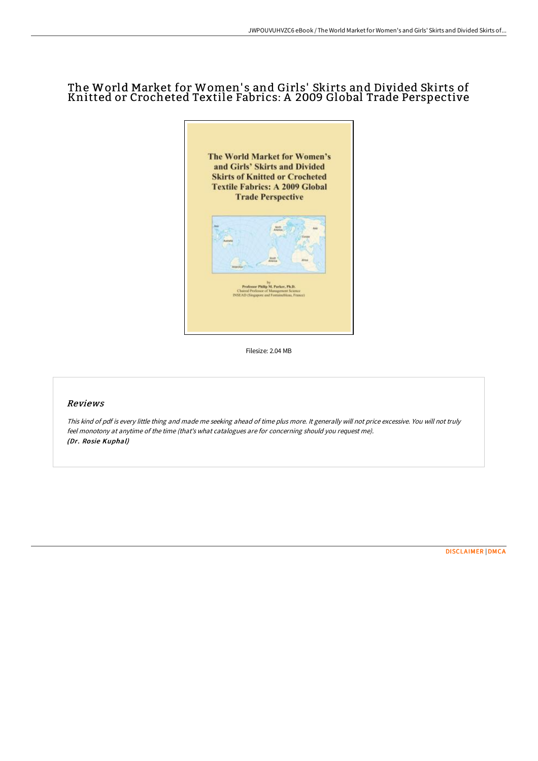## The World Market for Women' s and Girls' Skirts and Divided Skirts of Knitted or Crocheted Textile Fabrics: A 2009 Global Trade Perspective



Filesize: 2.04 MB

## Reviews

This kind of pdf is every little thing and made me seeking ahead of time plus more. It generally will not price excessive. You will not truly feel monotony at anytime of the time (that's what catalogues are for concerning should you request me). (Dr. Rosie Kuphal)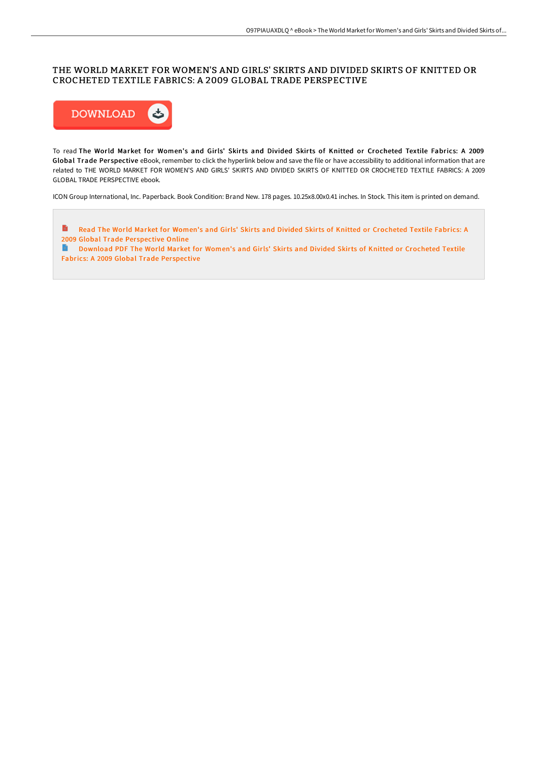## THE WORLD MARKET FOR WOMEN'S AND GIRLS' SKIRTS AND DIVIDED SKIRTS OF KNITTED OR CROCHETED TEXTILE FABRICS: A 2009 GLOBAL TRADE PERSPECTIVE



To read The World Market for Women's and Girls' Skirts and Divided Skirts of Knitted or Crocheted Textile Fabrics: A 2009 Global Trade Perspective eBook, remember to click the hyperlink below and save the file or have accessibility to additional information that are related to THE WORLD MARKET FOR WOMEN'S AND GIRLS' SKIRTS AND DIVIDED SKIRTS OF KNITTED OR CROCHETED TEXTILE FABRICS: A 2009 GLOBAL TRADE PERSPECTIVE ebook.

ICON Group International, Inc. Paperback. Book Condition: Brand New. 178 pages. 10.25x8.00x0.41 inches. In Stock. This item is printed on demand.